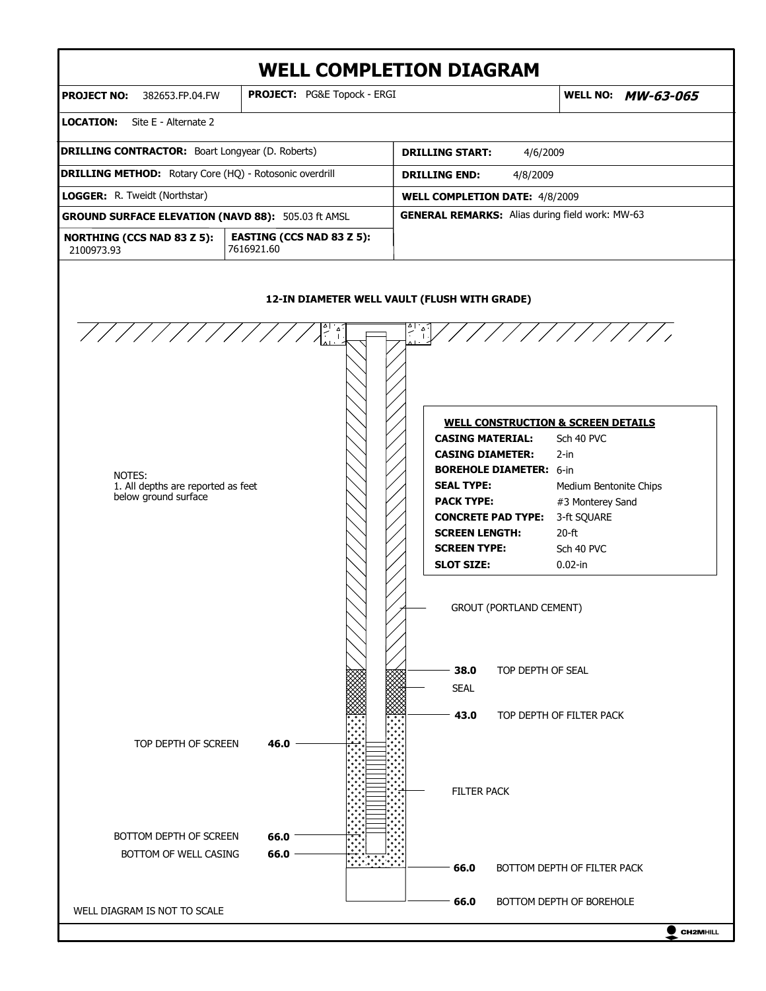

 $\bullet$  CH2MHILL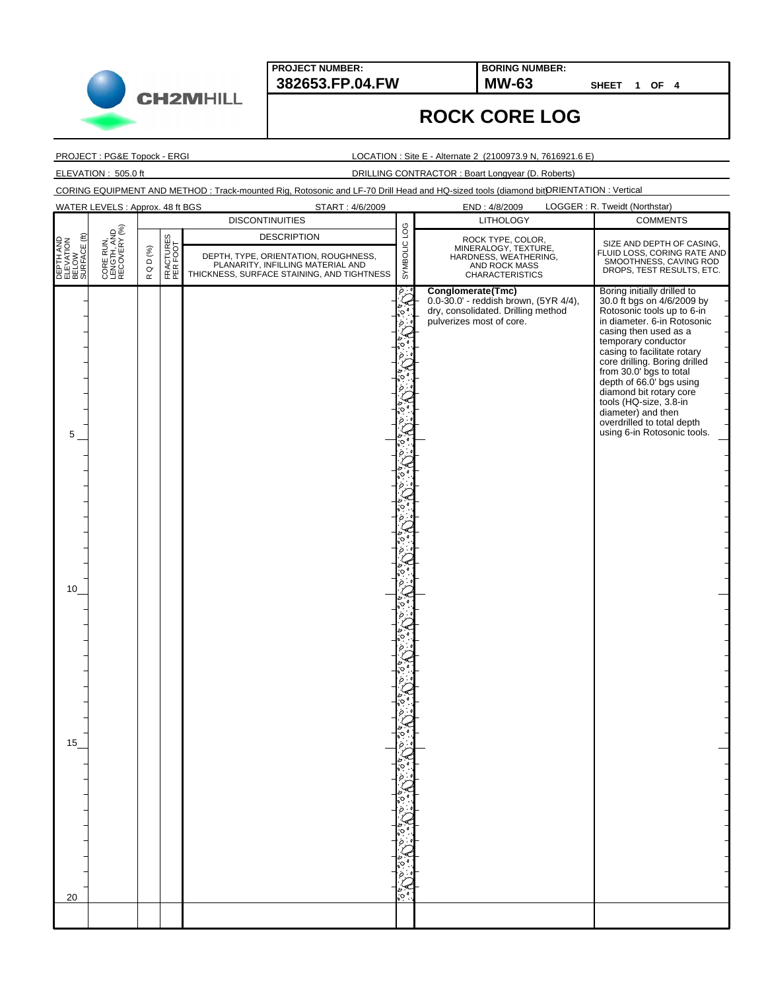

**PROJECT NUMBER: 382653.FP.04.FW MW-63**

**BORING NUMBER:**

**SHEET 1 OF 4**

## **ROCK CORE LOG**

PROJECT : PG&E Topock - ERGI

LOCATION : Site E - Alternate 2 (2100973.9 N, 7616921.6 E)

ELEVATION : 505.0 ft DRILLING CONTRACTOR : Boart Longyear (D. Roberts)

|                                                      | WATER LEVELS : Approx. 48 ft BGS         |                                 |                       | START: 4/6/2009                                                                                                                               |                     | END: 4/8/2009                                                                                                                | LOGGER: R. Tweidt (Northstar)                                                                                                                                                                                                                                                                                                                                                                                                         |
|------------------------------------------------------|------------------------------------------|---------------------------------|-----------------------|-----------------------------------------------------------------------------------------------------------------------------------------------|---------------------|------------------------------------------------------------------------------------------------------------------------------|---------------------------------------------------------------------------------------------------------------------------------------------------------------------------------------------------------------------------------------------------------------------------------------------------------------------------------------------------------------------------------------------------------------------------------------|
|                                                      |                                          |                                 |                       | <b>DISCONTINUITIES</b>                                                                                                                        |                     | <b>LITHOLOGY</b>                                                                                                             | <b>COMMENTS</b>                                                                                                                                                                                                                                                                                                                                                                                                                       |
| ε<br>DEPTH AND<br>ELEVATION<br>BELOW<br>SURFACE (ft) | CORE RUN,<br>LENGTH, AND<br>RECOVERY (%) | $D$ (%)<br>$\circ$<br>$\propto$ | FRACTURES<br>PER FOOT | <b>DESCRIPTION</b><br>DEPTH, TYPE, ORIENTATION, ROUGHNESS,<br>PLANARITY, INFILLING MATERIAL AND<br>THICKNESS, SURFACE STAINING, AND TIGHTNESS | SYMBOLIC LOG        | ROCK TYPE, COLOR,<br>MINERALOGY, TEXTURE,<br>HARDNESS, WEATHERING,<br>AND ROCK MASS<br><b>CHARACTERISTICS</b>                | SIZE AND DEPTH OF CASING,<br>FLUID LOSS, CORING RATE AND<br>SMOOTHNESS, CAVING ROD<br>DROPS, TEST RESULTS, ETC.                                                                                                                                                                                                                                                                                                                       |
| 5<br>10 <sup>1</sup><br>15                           |                                          |                                 |                       |                                                                                                                                               | $\phi$ . $^{\circ}$ | Conglomerate(Tmc)<br>0.0-30.0' - reddish brown, (5YR 4/4),<br>dry, consolidated. Drilling method<br>pulverizes most of core. | Boring initially drilled to<br>30.0 ft bgs on 4/6/2009 by<br>Rotosonic tools up to 6-in<br>in diameter. 6-in Rotosonic<br>casing then used as a<br>temporary conductor<br>casing to facilitate rotary<br>core drilling. Boring drilled<br>from 30.0' bgs to total<br>depth of 66.0' bgs using<br>diamond bit rotary core<br>tools (HQ-size, 3.8-in<br>diameter) and then<br>overdrilled to total depth<br>using 6-in Rotosonic tools. |
| 20                                                   |                                          |                                 |                       |                                                                                                                                               |                     |                                                                                                                              |                                                                                                                                                                                                                                                                                                                                                                                                                                       |
|                                                      |                                          |                                 |                       |                                                                                                                                               |                     |                                                                                                                              |                                                                                                                                                                                                                                                                                                                                                                                                                                       |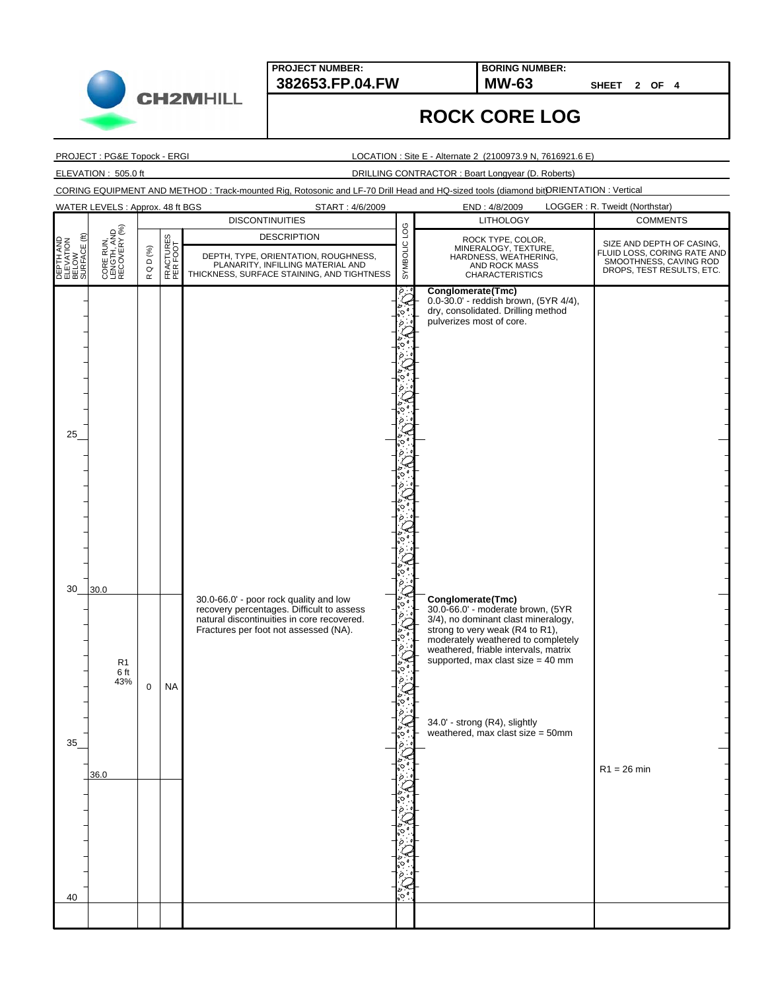

**PROJECT NUMBER: 382653.FP.04.FW MW-63**

**BORING NUMBER:**

**SHEET 2 OF 4**

## **ROCK CORE LOG**

PROJECT : PG&E Topock - ERGI

LOCATION : Site E - Alternate 2 (2100973.9 N, 7616921.6 E)

ELEVATION : 505.0 ft DRILLING CONTRACTOR : Boart Longyear (D. Roberts)

|                                                 | WATER LEVELS : Approx. 48 ft BGS         |                                 |                       | START: 4/6/2009                                                                                                                                                            |                 | END: 4/8/2009                                                                                                                                                                                                                                       | LOGGER: R. Tweidt (Northstar)                                                                                   |
|-------------------------------------------------|------------------------------------------|---------------------------------|-----------------------|----------------------------------------------------------------------------------------------------------------------------------------------------------------------------|-----------------|-----------------------------------------------------------------------------------------------------------------------------------------------------------------------------------------------------------------------------------------------------|-----------------------------------------------------------------------------------------------------------------|
|                                                 |                                          |                                 |                       | <b>DISCONTINUITIES</b>                                                                                                                                                     |                 | <b>LITHOLOGY</b>                                                                                                                                                                                                                                    | <b>COMMENTS</b>                                                                                                 |
| DEPTH AND<br>ELEVATION<br>BELOW<br>SURFACE (ft) | CORE RUN,<br>LENGTH, AND<br>RECOVERY (%) | $D$ (%)<br>$\circ$<br>$\propto$ | FRACTURES<br>PER FOOT | <b>DESCRIPTION</b><br>DEPTH, TYPE, ORIENTATION, ROUGHNESS,<br>PLANARITY, INFILLING MATERIAL AND<br>THICKNESS, SURFACE STAINING, AND TIGHTNESS                              | POT<br>SYMBOLIC | ROCK TYPE, COLOR,<br>MINERALOGY, TEXTURE,<br>HARDNESS, WEATHERING,<br>AND ROCK MASS<br><b>CHARACTERISTICS</b>                                                                                                                                       | SIZE AND DEPTH OF CASING,<br>FLUID LOSS, CORING RATE AND<br>SMOOTHNESS, CAVING ROD<br>DROPS, TEST RESULTS, ETC. |
| 25                                              |                                          |                                 |                       |                                                                                                                                                                            | ö.              | Conglomerate(Tmc)<br>0.0-30.0' - reddish brown, (5YR 4/4),<br>dry, consolidated. Drilling method<br>pulverizes most of core.                                                                                                                        |                                                                                                                 |
| 30                                              | 30.0<br>R <sub>1</sub>                   |                                 |                       | 30.0-66.0' - poor rock quality and low<br>recovery percentages. Difficult to assess<br>natural discontinuities in core recovered.<br>Fractures per foot not assessed (NA). |                 | Conglomerate(Tmc)<br>30.0-66.0' - moderate brown, (5YR<br>3/4), no dominant clast mineralogy,<br>strong to very weak (R4 to R1),<br>moderately weathered to completely<br>weathered, friable intervals, matrix<br>supported, max clast size = 40 mm |                                                                                                                 |
| 35                                              | 6 ft<br>43%                              | $\mathbf 0$                     | <b>NA</b>             |                                                                                                                                                                            |                 | 34.0' - strong (R4), slightly<br>weathered, max clast size = 50mm                                                                                                                                                                                   |                                                                                                                 |
|                                                 | 36.0                                     |                                 |                       |                                                                                                                                                                            |                 |                                                                                                                                                                                                                                                     | $R1 = 26$ min                                                                                                   |
| 40                                              |                                          |                                 |                       |                                                                                                                                                                            |                 |                                                                                                                                                                                                                                                     |                                                                                                                 |
|                                                 |                                          |                                 |                       |                                                                                                                                                                            |                 |                                                                                                                                                                                                                                                     |                                                                                                                 |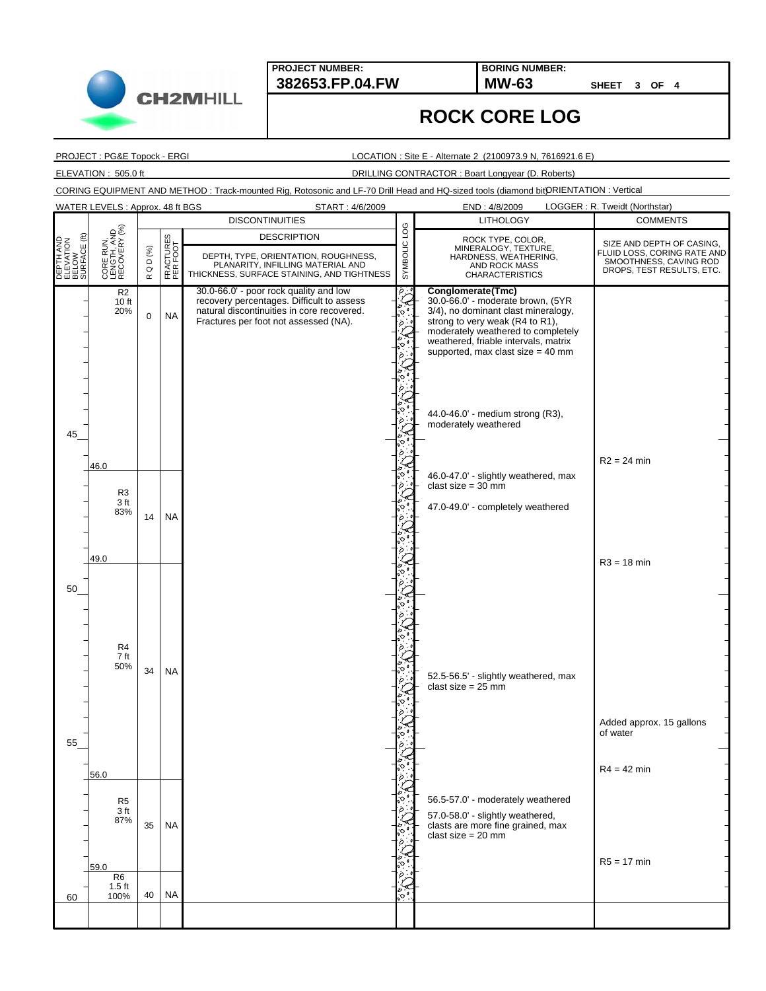**PROJECT NUMBER:**

**382653.FP.04.FW MW-63 BORING NUMBER:**

**SHEET 3 OF 4**

## **ROCK CORE LOG**

PROJECT : PG&E Topock - ERGI

LOCATION : Site E - Alternate 2 (2100973.9 N, 7616921.6 E)

ELEVATION : 505.0 ft DRILLING CONTRACTOR : Boart Longyear (D. Roberts)

|                                                 | WATER LEVELS: Approx. 48 ft BGS<br>START: 4/6/2009                      |                             |                        |                                                                                                                                                                                                                          |              | LOGGER: R. Tweidt (Northstar)<br>END: 4/8/2009                                                                                                                                                                                                                                                                                                                                                                                                   |                                                                                                                 |  |
|-------------------------------------------------|-------------------------------------------------------------------------|-----------------------------|------------------------|--------------------------------------------------------------------------------------------------------------------------------------------------------------------------------------------------------------------------|--------------|--------------------------------------------------------------------------------------------------------------------------------------------------------------------------------------------------------------------------------------------------------------------------------------------------------------------------------------------------------------------------------------------------------------------------------------------------|-----------------------------------------------------------------------------------------------------------------|--|
|                                                 |                                                                         |                             |                        | <b>DISCONTINUITIES</b>                                                                                                                                                                                                   |              | <b>LITHOLOGY</b>                                                                                                                                                                                                                                                                                                                                                                                                                                 | <b>COMMENTS</b>                                                                                                 |  |
| DEPTH AND<br>ELEVATION<br>BELOW<br>SURFACE (ft) | CORE RUN,<br>LENGTH, AND<br>RECOVERY (%)                                | Q D $(\%)$                  | FRACTURES<br>PER FOOT  | <b>DESCRIPTION</b><br>DEPTH, TYPE, ORIENTATION, ROUGHNESS,<br>PLANARITY, INFILLING MATERIAL AND                                                                                                                          | SYMBOLIC LOG | ROCK TYPE, COLOR,<br>MINERALOGY, TEXTURE,<br>HARDNESS, WEATHERING,<br>AND ROCK MASS                                                                                                                                                                                                                                                                                                                                                              | SIZE AND DEPTH OF CASING,<br>FLUID LOSS, CORING RATE AND<br>SMOOTHNESS, CAVING ROD<br>DROPS, TEST RESULTS, ETC. |  |
| 45                                              | R <sub>2</sub><br>10 ft<br>20%<br>46.0<br>R <sub>3</sub><br>3 ft<br>83% | $\simeq$<br>$\pmb{0}$<br>14 | <b>NA</b><br><b>NA</b> | THICKNESS, SURFACE STAINING, AND TIGHTNESS<br>30.0-66.0' - poor rock quality and low<br>recovery percentages. Difficult to assess<br>natural discontinuities in core recovered.<br>Fractures per foot not assessed (NA). | $\circ$ .    | <b>CHARACTERISTICS</b><br>Conglomerate(Tmc)<br>30.0-66.0' - moderate brown, (5YR<br>3/4), no dominant clast mineralogy,<br>strong to very weak (R4 to R1),<br>moderately weathered to completely<br>weathered, friable intervals, matrix<br>supported, max clast size = $40$ mm<br>44.0-46.0' - medium strong (R3),<br>moderately weathered<br>46.0-47.0' - slightly weathered, max<br>clast size $=$ 30 mm<br>47.0-49.0' - completely weathered | $R2 = 24$ min                                                                                                   |  |
|                                                 | 49.0                                                                    |                             |                        |                                                                                                                                                                                                                          |              |                                                                                                                                                                                                                                                                                                                                                                                                                                                  | $R3 = 18$ min                                                                                                   |  |
| 50<br>55                                        | R4<br>7 ft<br>50%                                                       | 34                          | <b>NA</b>              |                                                                                                                                                                                                                          |              | 52.5-56.5' - slightly weathered, max<br>clast size = $25 \text{ mm}$                                                                                                                                                                                                                                                                                                                                                                             | Added approx. 15 gallons<br>of water                                                                            |  |
|                                                 | 56.0<br>R <sub>5</sub><br>3 ft<br>87%<br>59.0<br>R <sub>6</sub>         | 35                          | <b>NA</b>              |                                                                                                                                                                                                                          |              | 56.5-57.0' - moderately weathered<br>57.0-58.0' - slightly weathered,<br>clasts are more fine grained, max<br>clast size $= 20$ mm                                                                                                                                                                                                                                                                                                               | $R4 = 42$ min<br>$R5 = 17$ min                                                                                  |  |
| 60                                              | $1.5$ ft<br>100%                                                        | 40                          | <b>NA</b>              |                                                                                                                                                                                                                          |              |                                                                                                                                                                                                                                                                                                                                                                                                                                                  |                                                                                                                 |  |
|                                                 |                                                                         |                             |                        |                                                                                                                                                                                                                          |              |                                                                                                                                                                                                                                                                                                                                                                                                                                                  |                                                                                                                 |  |